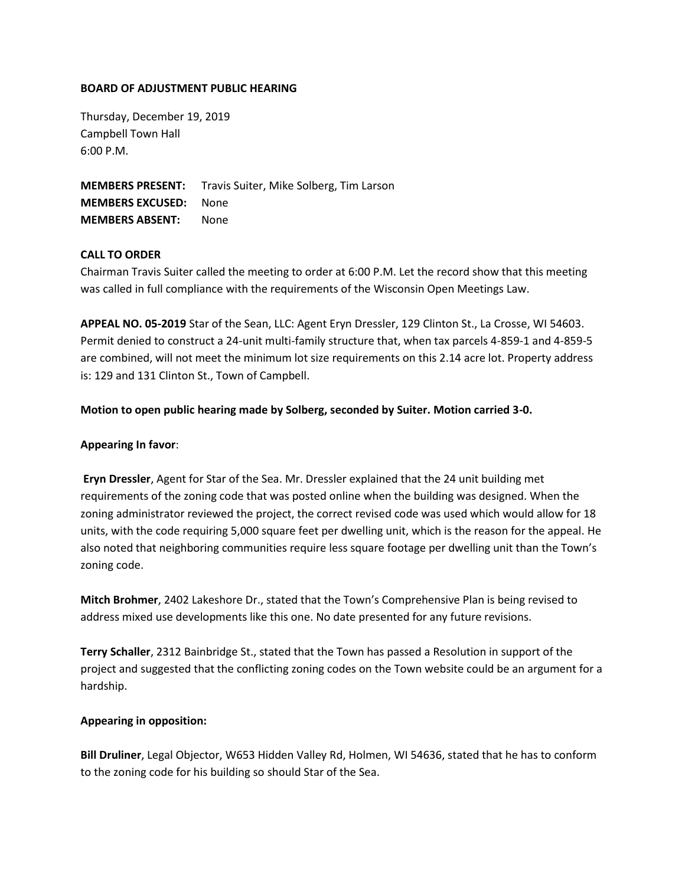### **BOARD OF ADJUSTMENT PUBLIC HEARING**

Thursday, December 19, 2019 Campbell Town Hall 6:00 P.M.

**MEMBERS PRESENT:** Travis Suiter, Mike Solberg, Tim Larson **MEMBERS EXCUSED:** None **MEMBERS ABSENT:** None

## **CALL TO ORDER**

Chairman Travis Suiter called the meeting to order at 6:00 P.M. Let the record show that this meeting was called in full compliance with the requirements of the Wisconsin Open Meetings Law.

**APPEAL NO. 05-2019** Star of the Sean, LLC: Agent Eryn Dressler, 129 Clinton St., La Crosse, WI 54603. Permit denied to construct a 24-unit multi-family structure that, when tax parcels 4-859-1 and 4-859-5 are combined, will not meet the minimum lot size requirements on this 2.14 acre lot. Property address is: 129 and 131 Clinton St., Town of Campbell.

### **Motion to open public hearing made by Solberg, seconded by Suiter. Motion carried 3-0.**

### **Appearing In favor**:

**Eryn Dressler**, Agent for Star of the Sea. Mr. Dressler explained that the 24 unit building met requirements of the zoning code that was posted online when the building was designed. When the zoning administrator reviewed the project, the correct revised code was used which would allow for 18 units, with the code requiring 5,000 square feet per dwelling unit, which is the reason for the appeal. He also noted that neighboring communities require less square footage per dwelling unit than the Town's zoning code.

**Mitch Brohmer**, 2402 Lakeshore Dr., stated that the Town's Comprehensive Plan is being revised to address mixed use developments like this one. No date presented for any future revisions.

**Terry Schaller**, 2312 Bainbridge St., stated that the Town has passed a Resolution in support of the project and suggested that the conflicting zoning codes on the Town website could be an argument for a hardship.

#### **Appearing in opposition:**

**Bill Druliner**, Legal Objector, W653 Hidden Valley Rd, Holmen, WI 54636, stated that he has to conform to the zoning code for his building so should Star of the Sea.